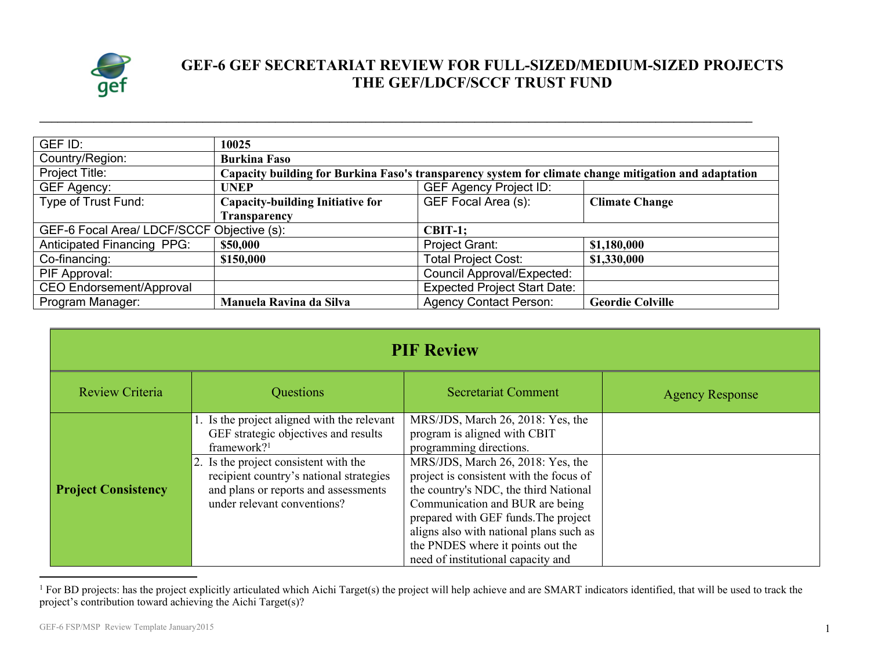

## **GEF-6 GEF SECRETARIAT REVIEW FOR FULL-SIZED/MEDIUM-SIZED PROJECTS THE GEF/LDCF/SCCF TRUST FUND**

| GEF ID:                                                 | 10025                                                                                                 |                                     |                         |
|---------------------------------------------------------|-------------------------------------------------------------------------------------------------------|-------------------------------------|-------------------------|
| Country/Region:                                         | <b>Burkina Faso</b>                                                                                   |                                     |                         |
| Project Title:                                          | Capacity building for Burkina Faso's transparency system for climate change mitigation and adaptation |                                     |                         |
| GEF Agency:                                             | <b>UNEP</b>                                                                                           | <b>GEF Agency Project ID:</b>       |                         |
| Type of Trust Fund:                                     | <b>Capacity-building Initiative for</b>                                                               | GEF Focal Area (s):                 | <b>Climate Change</b>   |
|                                                         | <b>Transparency</b>                                                                                   |                                     |                         |
| GEF-6 Focal Area/ LDCF/SCCF Objective (s):<br>$CBIT-1;$ |                                                                                                       |                                     |                         |
| <b>Anticipated Financing PPG:</b>                       | \$50,000                                                                                              | Project Grant:                      | \$1,180,000             |
| Co-financing:                                           | \$150,000                                                                                             | <b>Total Project Cost:</b>          | \$1,330,000             |
| PIF Approval:                                           |                                                                                                       | Council Approval/Expected:          |                         |
| <b>CEO Endorsement/Approval</b>                         |                                                                                                       | <b>Expected Project Start Date:</b> |                         |
| Program Manager:                                        | Manuela Ravina da Silva                                                                               | <b>Agency Contact Person:</b>       | <b>Geordie Colville</b> |

**\_\_\_\_\_\_\_\_\_\_\_\_\_\_\_\_\_\_\_\_\_\_\_\_\_\_\_\_\_\_\_\_\_\_\_\_\_\_\_\_\_\_\_\_\_\_\_\_\_\_\_\_\_\_\_\_\_\_\_\_\_\_\_\_\_\_\_\_\_\_\_\_\_\_\_\_\_\_\_\_\_\_\_\_\_\_\_\_\_\_\_\_\_\_\_\_\_\_\_\_\_\_\_\_\_\_\_\_\_\_\_\_\_\_\_\_\_\_**

| <b>PIF Review</b>          |                                                                                                                                                         |                                                                                                                                                                                                                                                                                                                        |                        |  |
|----------------------------|---------------------------------------------------------------------------------------------------------------------------------------------------------|------------------------------------------------------------------------------------------------------------------------------------------------------------------------------------------------------------------------------------------------------------------------------------------------------------------------|------------------------|--|
| Review Criteria            | Questions                                                                                                                                               | <b>Secretariat Comment</b>                                                                                                                                                                                                                                                                                             | <b>Agency Response</b> |  |
|                            | 1. Is the project aligned with the relevant<br>GEF strategic objectives and results<br>framework? <sup>1</sup>                                          | MRS/JDS, March 26, 2018: Yes, the<br>program is aligned with CBIT<br>programming directions.                                                                                                                                                                                                                           |                        |  |
| <b>Project Consistency</b> | 2. Is the project consistent with the<br>recipient country's national strategies<br>and plans or reports and assessments<br>under relevant conventions? | MRS/JDS, March 26, 2018: Yes, the<br>project is consistent with the focus of<br>the country's NDC, the third National<br>Communication and BUR are being<br>prepared with GEF funds. The project<br>aligns also with national plans such as<br>the PNDES where it points out the<br>need of institutional capacity and |                        |  |

<sup>&</sup>lt;sup>1</sup> For BD projects: has the project explicitly articulated which Aichi Target(s) the project will help achieve and are SMART indicators identified, that will be used to track the project's contribution toward achieving the Aichi Target(s)?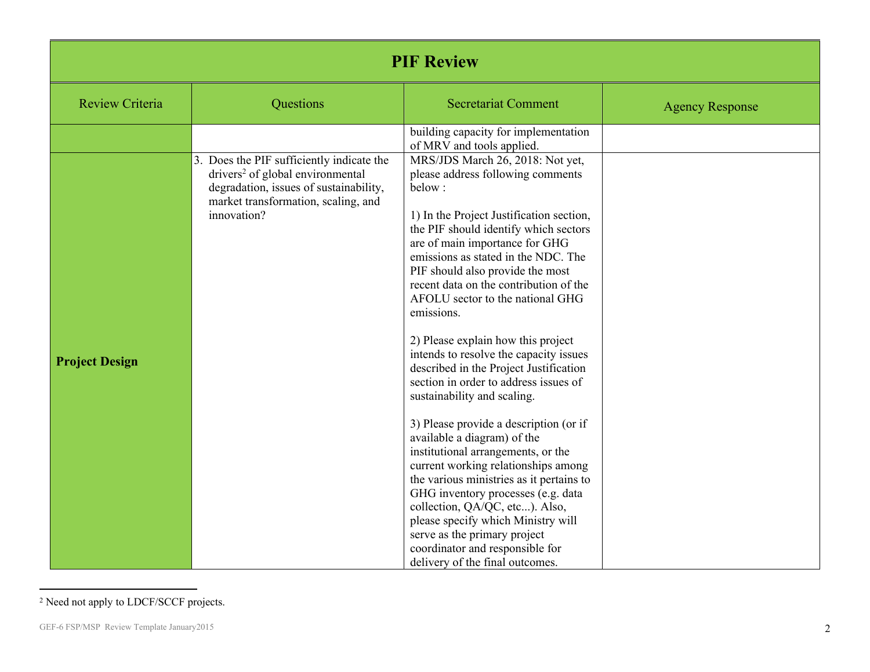| <b>PIF Review</b>      |                                                                                                                                                                                           |                                                                                                                                                                                                                                                                                                                                                                                                                                                                                                                                                                                                                                                                                                                                                                                                                                                                                                                                |                        |  |
|------------------------|-------------------------------------------------------------------------------------------------------------------------------------------------------------------------------------------|--------------------------------------------------------------------------------------------------------------------------------------------------------------------------------------------------------------------------------------------------------------------------------------------------------------------------------------------------------------------------------------------------------------------------------------------------------------------------------------------------------------------------------------------------------------------------------------------------------------------------------------------------------------------------------------------------------------------------------------------------------------------------------------------------------------------------------------------------------------------------------------------------------------------------------|------------------------|--|
| <b>Review Criteria</b> | Questions                                                                                                                                                                                 | <b>Secretariat Comment</b>                                                                                                                                                                                                                                                                                                                                                                                                                                                                                                                                                                                                                                                                                                                                                                                                                                                                                                     | <b>Agency Response</b> |  |
| <b>Project Design</b>  | 3. Does the PIF sufficiently indicate the<br>drivers <sup>2</sup> of global environmental<br>degradation, issues of sustainability,<br>market transformation, scaling, and<br>innovation? | building capacity for implementation<br>of MRV and tools applied.<br>MRS/JDS March 26, 2018: Not yet,<br>please address following comments<br>below:<br>1) In the Project Justification section,<br>the PIF should identify which sectors<br>are of main importance for GHG<br>emissions as stated in the NDC. The<br>PIF should also provide the most<br>recent data on the contribution of the<br>AFOLU sector to the national GHG<br>emissions.<br>2) Please explain how this project<br>intends to resolve the capacity issues<br>described in the Project Justification<br>section in order to address issues of<br>sustainability and scaling.<br>3) Please provide a description (or if<br>available a diagram) of the<br>institutional arrangements, or the<br>current working relationships among<br>the various ministries as it pertains to<br>GHG inventory processes (e.g. data<br>collection, QA/QC, etc). Also, |                        |  |
|                        |                                                                                                                                                                                           | please specify which Ministry will<br>serve as the primary project<br>coordinator and responsible for<br>delivery of the final outcomes.                                                                                                                                                                                                                                                                                                                                                                                                                                                                                                                                                                                                                                                                                                                                                                                       |                        |  |

<sup>2</sup> Need not apply to LDCF/SCCF projects.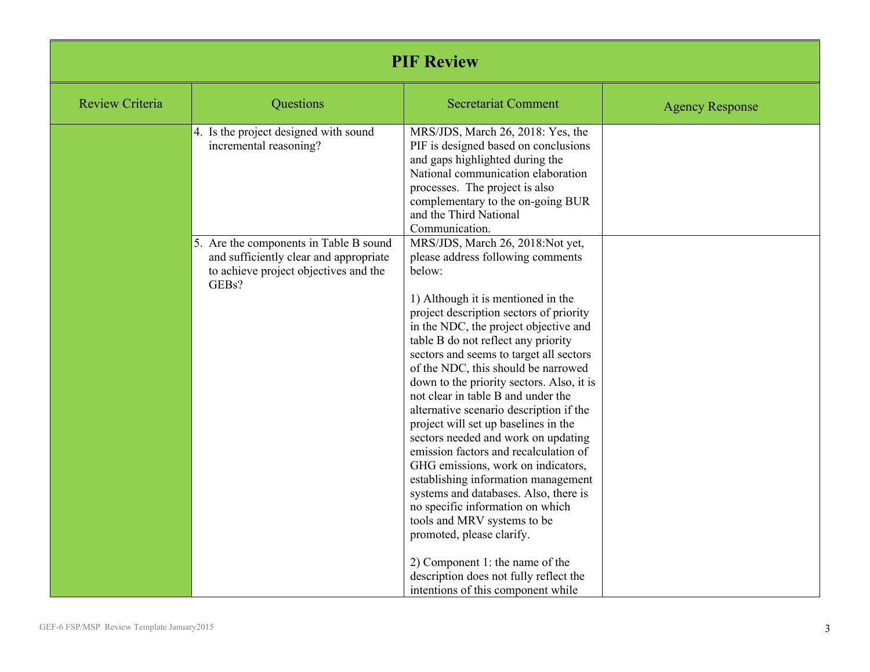| <b>PIF Review</b> |                                                                                                                                    |                                                                                                                                                                                                                                                                                                                                                                                                                                                                                                                                                                                                                                                                                                                                                                                                                                                                                                                                   |                        |  |
|-------------------|------------------------------------------------------------------------------------------------------------------------------------|-----------------------------------------------------------------------------------------------------------------------------------------------------------------------------------------------------------------------------------------------------------------------------------------------------------------------------------------------------------------------------------------------------------------------------------------------------------------------------------------------------------------------------------------------------------------------------------------------------------------------------------------------------------------------------------------------------------------------------------------------------------------------------------------------------------------------------------------------------------------------------------------------------------------------------------|------------------------|--|
| Review Criteria   | Questions                                                                                                                          | <b>Secretariat Comment</b>                                                                                                                                                                                                                                                                                                                                                                                                                                                                                                                                                                                                                                                                                                                                                                                                                                                                                                        | <b>Agency Response</b> |  |
|                   | 4. Is the project designed with sound<br>incremental reasoning?                                                                    | MRS/JDS, March 26, 2018: Yes, the<br>PIF is designed based on conclusions<br>and gaps highlighted during the<br>National communication elaboration<br>processes. The project is also<br>complementary to the on-going BUR<br>and the Third National<br>Communication.                                                                                                                                                                                                                                                                                                                                                                                                                                                                                                                                                                                                                                                             |                        |  |
|                   | 5. Are the components in Table B sound<br>and sufficiently clear and appropriate<br>to achieve project objectives and the<br>GEBs? | MRS/JDS, March 26, 2018:Not yet,<br>please address following comments<br>below:<br>1) Although it is mentioned in the<br>project description sectors of priority<br>in the NDC, the project objective and<br>table B do not reflect any priority<br>sectors and seems to target all sectors<br>of the NDC, this should be narrowed<br>down to the priority sectors. Also, it is<br>not clear in table B and under the<br>alternative scenario description if the<br>project will set up baselines in the<br>sectors needed and work on updating<br>emission factors and recalculation of<br>GHG emissions, work on indicators,<br>establishing information management<br>systems and databases. Also, there is<br>no specific information on which<br>tools and MRV systems to be<br>promoted, please clarify.<br>2) Component 1: the name of the<br>description does not fully reflect the<br>intentions of this component while |                        |  |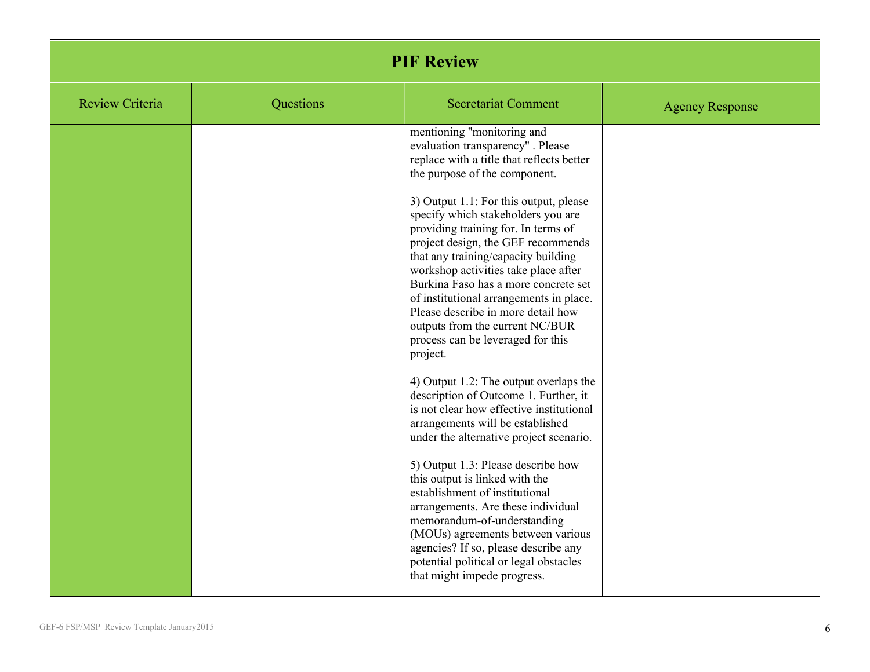| <b>PIF Review</b>      |           |                                                                                                                                                                                                                                                                                                                                                                                                                                                                                                                                                                                                                                                                                                                                                                                                                                                                                                                                                                                                                                                                                                                                                                       |                        |  |
|------------------------|-----------|-----------------------------------------------------------------------------------------------------------------------------------------------------------------------------------------------------------------------------------------------------------------------------------------------------------------------------------------------------------------------------------------------------------------------------------------------------------------------------------------------------------------------------------------------------------------------------------------------------------------------------------------------------------------------------------------------------------------------------------------------------------------------------------------------------------------------------------------------------------------------------------------------------------------------------------------------------------------------------------------------------------------------------------------------------------------------------------------------------------------------------------------------------------------------|------------------------|--|
| <b>Review Criteria</b> | Questions | <b>Secretariat Comment</b>                                                                                                                                                                                                                                                                                                                                                                                                                                                                                                                                                                                                                                                                                                                                                                                                                                                                                                                                                                                                                                                                                                                                            | <b>Agency Response</b> |  |
|                        |           | mentioning "monitoring and<br>evaluation transparency". Please<br>replace with a title that reflects better<br>the purpose of the component.<br>3) Output 1.1: For this output, please<br>specify which stakeholders you are<br>providing training for. In terms of<br>project design, the GEF recommends<br>that any training/capacity building<br>workshop activities take place after<br>Burkina Faso has a more concrete set<br>of institutional arrangements in place.<br>Please describe in more detail how<br>outputs from the current NC/BUR<br>process can be leveraged for this<br>project.<br>4) Output 1.2: The output overlaps the<br>description of Outcome 1. Further, it<br>is not clear how effective institutional<br>arrangements will be established<br>under the alternative project scenario.<br>5) Output 1.3: Please describe how<br>this output is linked with the<br>establishment of institutional<br>arrangements. Are these individual<br>memorandum-of-understanding<br>(MOU <sub>s</sub> ) agreements between various<br>agencies? If so, please describe any<br>potential political or legal obstacles<br>that might impede progress. |                        |  |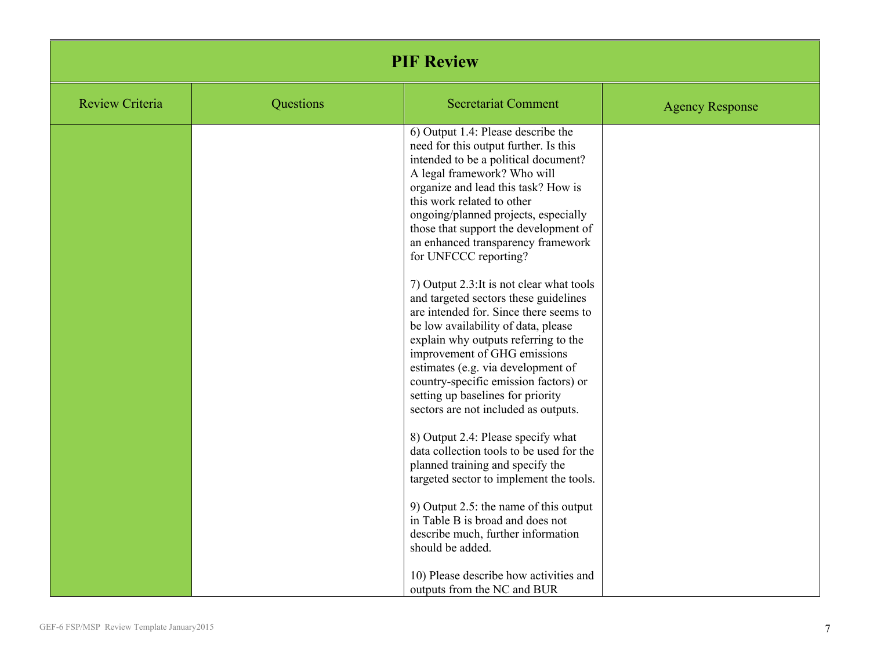| <b>PIF Review</b> |           |                                                                                                                                                                                                                                                                                                                                                                                                                                                                                                                                                                                                                                                                                                                                                                                                                                                                                                                                                                                                                                                                                                                                          |                        |  |
|-------------------|-----------|------------------------------------------------------------------------------------------------------------------------------------------------------------------------------------------------------------------------------------------------------------------------------------------------------------------------------------------------------------------------------------------------------------------------------------------------------------------------------------------------------------------------------------------------------------------------------------------------------------------------------------------------------------------------------------------------------------------------------------------------------------------------------------------------------------------------------------------------------------------------------------------------------------------------------------------------------------------------------------------------------------------------------------------------------------------------------------------------------------------------------------------|------------------------|--|
| Review Criteria   | Questions | <b>Secretariat Comment</b>                                                                                                                                                                                                                                                                                                                                                                                                                                                                                                                                                                                                                                                                                                                                                                                                                                                                                                                                                                                                                                                                                                               | <b>Agency Response</b> |  |
|                   |           | 6) Output 1.4: Please describe the<br>need for this output further. Is this<br>intended to be a political document?<br>A legal framework? Who will<br>organize and lead this task? How is<br>this work related to other<br>ongoing/planned projects, especially<br>those that support the development of<br>an enhanced transparency framework<br>for UNFCCC reporting?<br>7) Output 2.3: It is not clear what tools<br>and targeted sectors these guidelines<br>are intended for. Since there seems to<br>be low availability of data, please<br>explain why outputs referring to the<br>improvement of GHG emissions<br>estimates (e.g. via development of<br>country-specific emission factors) or<br>setting up baselines for priority<br>sectors are not included as outputs.<br>8) Output 2.4: Please specify what<br>data collection tools to be used for the<br>planned training and specify the<br>targeted sector to implement the tools.<br>9) Output $2.5$ : the name of this output<br>in Table B is broad and does not<br>describe much, further information<br>should be added.<br>10) Please describe how activities and |                        |  |
|                   |           | outputs from the NC and BUR                                                                                                                                                                                                                                                                                                                                                                                                                                                                                                                                                                                                                                                                                                                                                                                                                                                                                                                                                                                                                                                                                                              |                        |  |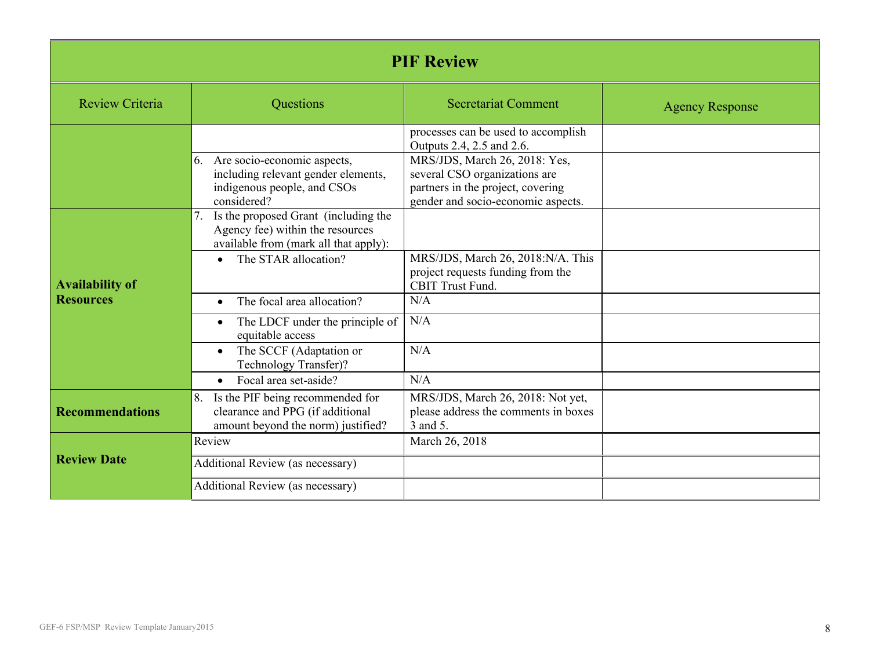| <b>PIF Review</b>                          |                                                                                                                                                                                                         |                                                                                                                                                                                                               |                        |  |
|--------------------------------------------|---------------------------------------------------------------------------------------------------------------------------------------------------------------------------------------------------------|---------------------------------------------------------------------------------------------------------------------------------------------------------------------------------------------------------------|------------------------|--|
| <b>Review Criteria</b>                     | Questions                                                                                                                                                                                               | <b>Secretariat Comment</b>                                                                                                                                                                                    | <b>Agency Response</b> |  |
|                                            | 6. Are socio-economic aspects,<br>including relevant gender elements,<br>indigenous people, and CSOs<br>considered?                                                                                     | processes can be used to accomplish<br>Outputs 2.4, 2.5 and 2.6.<br>MRS/JDS, March 26, 2018: Yes,<br>several CSO organizations are<br>partners in the project, covering<br>gender and socio-economic aspects. |                        |  |
| <b>Availability of</b><br><b>Resources</b> | Is the proposed Grant (including the<br>7.<br>Agency fee) within the resources<br>available from (mark all that apply):<br>The STAR allocation?<br>$\bullet$<br>The focal area allocation?<br>$\bullet$ | MRS/JDS, March 26, 2018:N/A. This<br>project requests funding from the<br><b>CBIT Trust Fund.</b><br>N/A                                                                                                      |                        |  |
|                                            | The LDCF under the principle of<br>equitable access<br>The SCCF (Adaptation or<br>$\bullet$<br>Technology Transfer)?<br>Focal area set-aside?<br>$\bullet$                                              | N/A<br>N/A<br>N/A                                                                                                                                                                                             |                        |  |
| <b>Recommendations</b>                     | Is the PIF being recommended for<br>8.<br>clearance and PPG (if additional<br>amount beyond the norm) justified?                                                                                        | MRS/JDS, March 26, 2018: Not yet,<br>please address the comments in boxes<br>3 and 5.                                                                                                                         |                        |  |
| <b>Review Date</b>                         | Review<br>Additional Review (as necessary)<br>Additional Review (as necessary)                                                                                                                          | March 26, 2018                                                                                                                                                                                                |                        |  |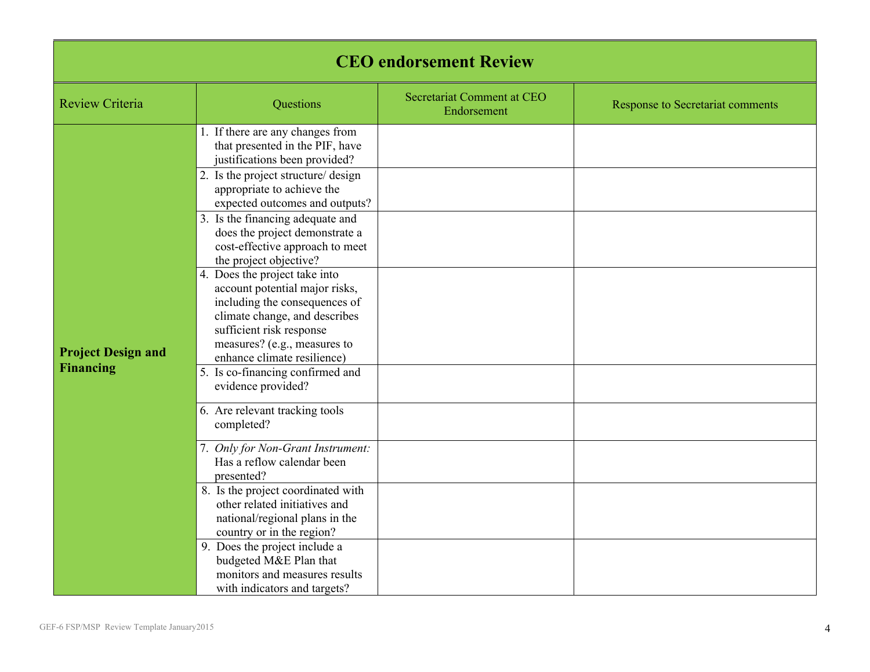| <b>CEO</b> endorsement Review                 |                                                                                                                                                                                                                                                                                                                                                                                                                                                                                                                                                                                                                                                                                                                                                                                                                                                                                    |                                           |                                         |  |
|-----------------------------------------------|------------------------------------------------------------------------------------------------------------------------------------------------------------------------------------------------------------------------------------------------------------------------------------------------------------------------------------------------------------------------------------------------------------------------------------------------------------------------------------------------------------------------------------------------------------------------------------------------------------------------------------------------------------------------------------------------------------------------------------------------------------------------------------------------------------------------------------------------------------------------------------|-------------------------------------------|-----------------------------------------|--|
| <b>Review Criteria</b>                        | Questions                                                                                                                                                                                                                                                                                                                                                                                                                                                                                                                                                                                                                                                                                                                                                                                                                                                                          | Secretariat Comment at CEO<br>Endorsement | <b>Response to Secretariat comments</b> |  |
| <b>Project Design and</b><br><b>Financing</b> | 1. If there are any changes from<br>that presented in the PIF, have<br>justifications been provided?<br>2. Is the project structure/ design<br>appropriate to achieve the<br>expected outcomes and outputs?<br>3. Is the financing adequate and<br>does the project demonstrate a<br>cost-effective approach to meet<br>the project objective?<br>4. Does the project take into<br>account potential major risks,<br>including the consequences of<br>climate change, and describes<br>sufficient risk response<br>measures? (e.g., measures to<br>enhance climate resilience)<br>5. Is co-financing confirmed and<br>evidence provided?<br>6. Are relevant tracking tools<br>completed?<br>7. Only for Non-Grant Instrument:<br>Has a reflow calendar been<br>presented?<br>8. Is the project coordinated with<br>other related initiatives and<br>national/regional plans in the |                                           |                                         |  |
|                                               | country or in the region?<br>9. Does the project include a<br>budgeted M&E Plan that<br>monitors and measures results<br>with indicators and targets?                                                                                                                                                                                                                                                                                                                                                                                                                                                                                                                                                                                                                                                                                                                              |                                           |                                         |  |